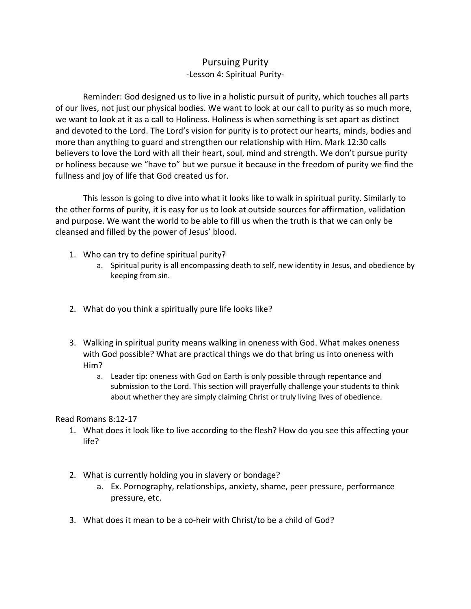## Pursuing Purity -Lesson 4: Spiritual Purity-

Reminder: God designed us to live in a holistic pursuit of purity, which touches all parts of our lives, not just our physical bodies. We want to look at our call to purity as so much more, we want to look at it as a call to Holiness. Holiness is when something is set apart as distinct and devoted to the Lord. The Lord's vision for purity is to protect our hearts, minds, bodies and more than anything to guard and strengthen our relationship with Him. Mark 12:30 calls believers to love the Lord with all their heart, soul, mind and strength. We don't pursue purity or holiness because we "have to" but we pursue it because in the freedom of purity we find the fullness and joy of life that God created us for.

This lesson is going to dive into what it looks like to walk in spiritual purity. Similarly to the other forms of purity, it is easy for us to look at outside sources for affirmation, validation and purpose. We want the world to be able to fill us when the truth is that we can only be cleansed and filled by the power of Jesus' blood.

- 1. Who can try to define spiritual purity?
	- a. Spiritual purity is all encompassing death to self, new identity in Jesus, and obedience by keeping from sin.
- 2. What do you think a spiritually pure life looks like?
- 3. Walking in spiritual purity means walking in oneness with God. What makes oneness with God possible? What are practical things we do that bring us into oneness with Him?
	- a. Leader tip: oneness with God on Earth is only possible through repentance and submission to the Lord. This section will prayerfully challenge your students to think about whether they are simply claiming Christ or truly living lives of obedience.

Read Romans 8:12-17

- 1. What does it look like to live according to the flesh? How do you see this affecting your life?
- 2. What is currently holding you in slavery or bondage?
	- a. Ex. Pornography, relationships, anxiety, shame, peer pressure, performance pressure, etc.
- 3. What does it mean to be a co-heir with Christ/to be a child of God?